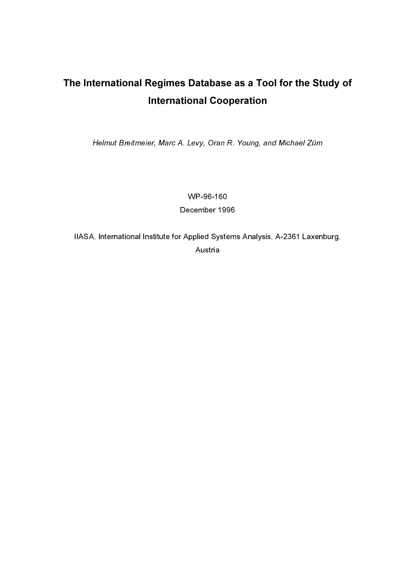# The International Regimes Database as a Tool for the Study of International Cooperation

Helmut Breitmeier, Marc A. Levy, Oran R. Young, and Michael Zürn

WP-96-160 December 1996

IIASA, International Institute for Applied Systems Analysis, A-2361 Laxenburg, Austria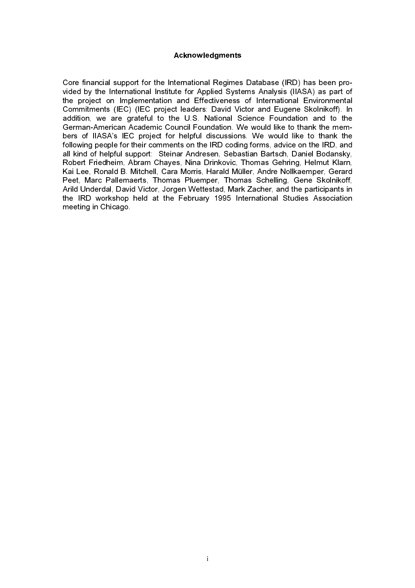### Acknowledgments

Core financial support for the International Regimes Database (IRD) has been provided by the International Institute for Applied Systems Analysis (IIASA) as part of the project on Implementation and Effectiveness of International Environmental Commitments (IEC) (IEC project leaders: David Victor and Eugene Skolnikoff). In addition, we are grateful to the U.S. National Science Foundation and to the German-American Academic Council Foundation. We would like to thank the members of IIASA's IEC project for helpful discussions. We would like to thank the following people for their comments on the IRD coding forms, advice on the IRD, and all kind of helpful support: Steinar Andresen, Sebastian Bartsch, Daniel Bodansky, Robert Friedheim, Abram Chayes, Nina Drinkovic, Thomas Gehring, Helmut Klarn, Kai Lee, Ronald B. Mitchell, Cara Morris, Harald Müller, Andre Nollkaemper, Gerard Peet, Marc Pallemaerts, Thomas Pluemper, Thomas Schelling, Gene Skolnikoff, Arild Underdal, David Victor, Jorgen Wettestad, Mark Zacher, and the participants in the IRD workshop held at the February 1995 International Studies Association meeting in Chicago.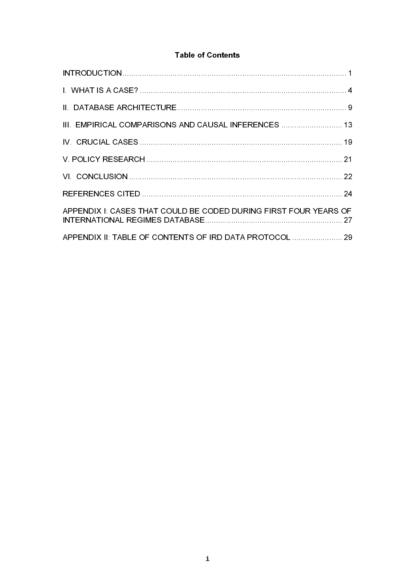## **Table of Contents**

| III. EMPIRICAL COMPARISONS AND CAUSAL INFERENCES  13             |  |
|------------------------------------------------------------------|--|
|                                                                  |  |
|                                                                  |  |
|                                                                  |  |
|                                                                  |  |
| APPENDIX I: CASES THAT COULD BE CODED DURING FIRST FOUR YEARS OF |  |
| APPENDIX II: TABLE OF CONTENTS OF IRD DATA PROTOCOL  29          |  |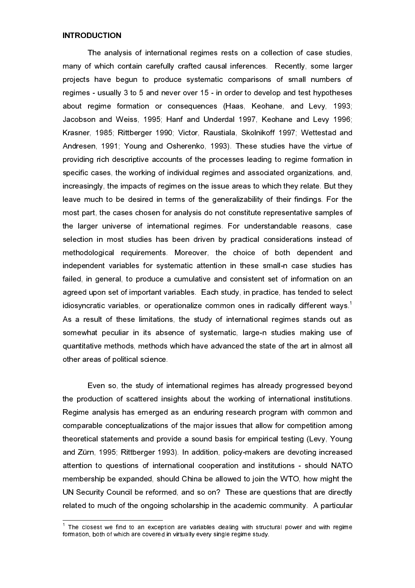#### **INTRODUCTION**

The analysis of international regimes rests on a collection of case studies, many of which contain carefully crafted causal inferences. Recently, some larger projects have begun to produce systematic comparisons of small numbers of regimes - usually 3 to 5 and never over 15 - in order to develop and test hypotheses about regime formation or consequences (Haas, Keohane, and Levy, 1993; Jacobson and Weiss, 1995; Hanf and Underdal 1997, Keohane and Levy 1996; Krasner, 1985; Rittberger 1990; Victor, Raustiala, Skolnikoff 1997; Wettestad and Andresen, 1991; Young and Osherenko, 1993). These studies have the virtue of providing rich descriptive accounts of the processes leading to regime formation in specific cases, the working of individual regimes and associated organizations, and, increasingly, the impacts of regimes on the issue areas to which they relate. But they leave much to be desired in terms of the generalizability of their findings. For the most part, the cases chosen for analysis do not constitute representative samples of the larger universe of international regimes. For understandable reasons, case selection in most studies has been driven by practical considerations instead of methodological requirements. Moreover, the choice of both dependent and independent variables for systematic attention in these small-n case studies has failed, in general, to produce a cumulative and consistent set of information on an agreed upon set of important variables. Each study, in practice, has tended to select idiosyncratic variables, or operationalize common ones in radically different ways.<sup>1</sup> As a result of these limitations, the study of international regimes stands out as somewhat peculiar in its absence of systematic, large-n studies making use of quantitative methods, methods which have advanced the state of the art in almost all other areas of political science.

Even so, the study of international regimes has already progressed beyond the production of scattered insights about the working of international institutions. Regime analysis has emerged as an enduring research program with common and comparable conceptualizations of the major issues that allow for competition among theoretical statements and provide a sound basis for empirical testing (Levy, Young and Zürn, 1995; Rittberger 1993). In addition, policy-makers are devoting increased attention to questions of international cooperation and institutions - should NATO membership be expanded, should China be allowed to join the WTO, how might the UN Security Council be reformed, and so on? These are questions that are directly related to much of the ongoing scholarship in the academic community. A particular

 $1$  The closest we find to an exception are variables dealing with structural power and with regime formation, both of which are covered in virtually every single regime study.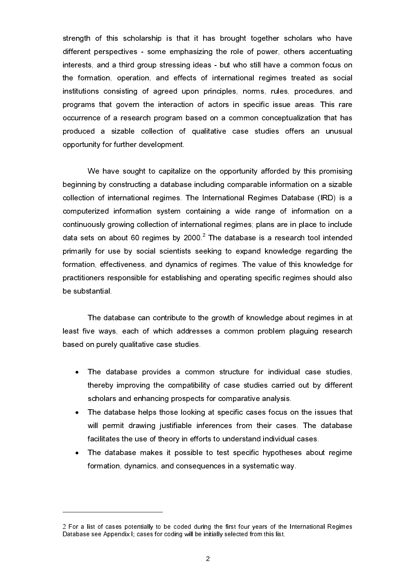strength of this scholarship is that it has brought together scholars who have different perspectives - some emphasizing the role of power, others accentuating interests, and a third group stressing ideas - but who still have a common focus on the formation, operation, and effects of international regimes treated as social institutions consisting of agreed upon principles, norms, rules, procedures, and programs that govern the interaction of actors in specific issue areas. This rare occurrence of a research program based on a common conceptualization that has produced a sizable collection of qualitative case studies offers an unusual opportunity for further development.

We have sought to capitalize on the opportunity afforded by this promising beginning by constructing a database including comparable information on a sizable collection of international regimes. The International Regimes Database (IRD) is a computerized information system containing a wide range of information on a continuously growing collection of international regimes; plans are in place to include data sets on about 60 regimes by 2000. $^2$  The database is a research tool intended primarily for use by social scientists seeking to expand knowledge regarding the formation, effectiveness, and dynamics of regimes. The value of this knowledge for practitioners responsible for establishing and operating specific regimes should also be substantial.

The database can contribute to the growth of knowledge about regimes in at least five ways, each of which addresses a common problem plaguing research based on purely qualitative case studies.

- · The database provides a common structure for individual case studies, thereby improving the compatibility of case studies carried out by different scholars and enhancing prospects for comparative analysis.
- · The database helps those looking at specific cases focus on the issues that will permit drawing justifiable inferences from their cases. The database facilitates the use of theory in efforts to understand individual cases.
- · The database makes it possible to test specific hypotheses about regime formation, dynamics, and consequences in a systematic way.

<sup>2</sup> For a list of cases potentially to be coded during the first four years of the International Regimes Database see Appendix I; cases for coding will be initially selected from this list.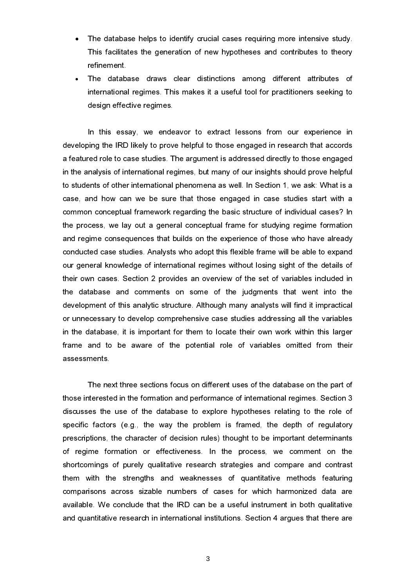- The database helps to identify crucial cases requiring more intensive study. This facilitates the generation of new hypotheses and contributes to theory refinement.
- The database draws clear distinctions among different attributes of international regimes. This makes it a useful tool for practitioners seeking to design effective regimes.

In this essay, we endeavor to extract lessons from our experience in developing the IRD likely to prove helpful to those engaged in research that accords a featured role to case studies. The argument is addressed directly to those engaged in the analysis of international regimes, but many of our insights should prove helpful to students of other international phenomena as well. In Section 1, we ask: What is a case, and how can we be sure that those engaged in case studies start with a common conceptual framework regarding the basic structure of individual cases? In the process, we lay out a general conceptual frame for studying regime formation and regime consequences that builds on the experience of those who have already conducted case studies. Analysts who adopt this flexible frame will be able to expand our general knowledge of international regimes without losing sight of the details of their own cases. Section 2 provides an overview of the set of variables included in the database and comments on some of the judgments that went into the development of this analytic structure. Although many analysts will find it impractical or unnecessary to develop comprehensive case studies addressing all the variables in the database, it is important for them to locate their own work within this larger frame and to be aware of the potential role of variables omitted from their assessments.

The next three sections focus on different uses of the database on the part of those interested in the formation and performance of international regimes. Section 3 discusses the use of the database to explore hypotheses relating to the role of specific factors (e.g., the way the problem is framed, the depth of regulatory prescriptions, the character of decision rules) thought to be important determinants of regime formation or effectiveness. In the process, we comment on the shortcomings of purely qualitative research strategies and compare and contrast them with the strengths and weaknesses of quantitative methods featuring comparisons across sizable numbers of cases for which harmonized data are available. We conclude that the IRD can be a useful instrument in both qualitative and quantitative research in international institutions. Section 4 argues that there are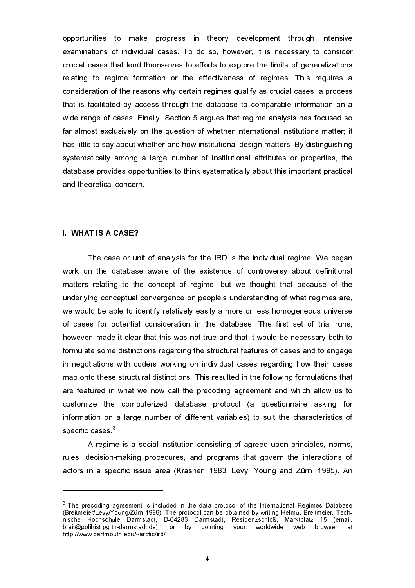opportunities to make progress in theory development through intensive examinations of individual cases. To do so, however, it is necessary to consider crucial cases that lend themselves to efforts to explore the limits of generalizations relating to regime formation or the effectiveness of regimes. This requires a consideration of the reasons why certain regimes qualify as crucial cases, a process that is facilitated by access through the database to comparable information on a wide range of cases. Finally, Section 5 argues that regime analysis has focused so far almost exclusively on the question of whether international institutions matter; it has little to say about whether and how institutional design matters. By distinguishing systematically among a large number of institutional attributes or properties, the database provides opportunities to think systematically about this important practical and theoretical concern.

## I. WHAT IS A CASE?

 $\overline{a}$ 

The case or unit of analysis for the IRD is the individual regime. We began work on the database aware of the existence of controversy about definitional matters relating to the concept of regime, but we thought that because of the underlying conceptual convergence on people's understanding of what regimes are, we would be able to identify relatively easily a more or less homogeneous universe of cases for potential consideration in the database. The first set of trial runs, however, made it clear that this was not true and that it would be necessary both to formulate some distinctions regarding the structural features of cases and to engage in negotiations with coders working on individual cases regarding how their cases map onto these structural distinctions. This resulted in the following formulations that are featured in what we now call the precoding agreement and which allow us to customize the computerized database protocol (a questionnaire asking for information on a large number of different variables) to suit the characteristics of specific cases<sup>3</sup>

A regime is a social institution consisting of agreed upon principles, norms, rules, decision-making procedures, and programs that govern the interactions of actors in a specific issue area (Krasner, 1983; Levy, Young and Zürn, 1995). An

 $3$  The precoding agreement is included in the data protocol of the International Regimes Database (Breitmeier/Levy/Young/Zürn 1996). The protocol can be obtained by writing Helmut Breitmeier, Technische Hochschule Darmstadt, D-64283 Darmstadt, Residenzschloß, Marktplatz 15 (email: breit@polihist.pg.th-darmstadt.de), or by pointing your worldwide web browser at http://www.dartmouth.edu/~arctic/ird/.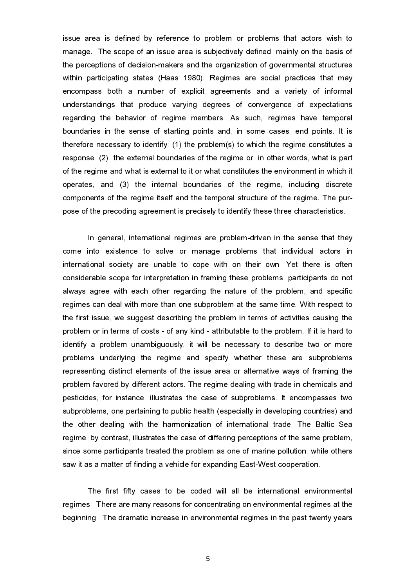issue area is defined by reference to problem or problems that actors wish to manage. The scope of an issue area is subjectively defined, mainly on the basis of the perceptions of decision-makers and the organization of governmental structures within participating states (Haas 1980). Regimes are social practices that may encompass both a number of explicit agreements and a variety of informal understandings that produce varying degrees of convergence of expectations regarding the behavior of regime members. As such, regimes have temporal boundaries in the sense of starting points and, in some cases, end points. It is therefore necessary to identify: (1) the problem(s) to which the regime constitutes a response, (2) the external boundaries of the regime or, in other words, what is part of the regime and what is external to it or what constitutes the environment in which it operates, and (3) the internal boundaries of the regime, including discrete components of the regime itself and the temporal structure of the regime. The purpose of the precoding agreement is precisely to identify these three characteristics.

In general, international regimes are problem-driven in the sense that they come into existence to solve or manage problems that individual actors in international society are unable to cope with on their own. Yet there is often considerable scope for interpretation in framing these problems; participants do not always agree with each other regarding the nature of the problem, and specific regimes can deal with more than one subproblem at the same time. With respect to the first issue, we suggest describing the problem in terms of activities causing the problem or in terms of costs - of any kind - attributable to the problem. If it is hard to identify a problem unambiguously, it will be necessary to describe two or more problems underlying the regime and specify whether these are subproblems representing distinct elements of the issue area or alternative ways of framing the problem favored by different actors. The regime dealing with trade in chemicals and pesticides, for instance, illustrates the case of subproblems. It encompasses two subproblems, one pertaining to public health (especially in developing countries) and the other dealing with the harmonization of international trade. The Baltic Sea regime, by contrast, illustrates the case of differing perceptions of the same problem, since some participants treated the problem as one of marine pollution, while others saw it as a matter of finding a vehicle for expanding East-West cooperation.

The first fifty cases to be coded will all be international environmental regimes. There are many reasons for concentrating on environmental regimes at the beginning. The dramatic increase in environmental regimes in the past twenty years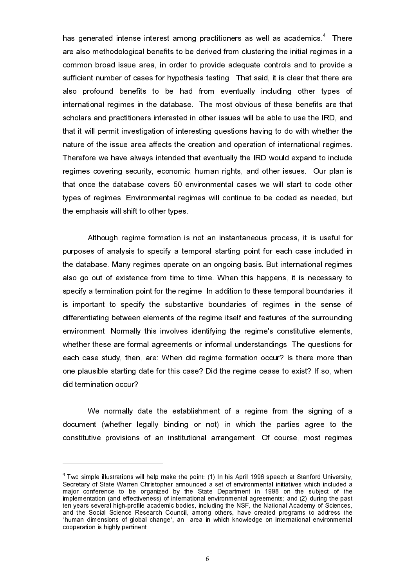has generated intense interest among practitioners as well as academics.<sup>4</sup> There are also methodological benefits to be derived from clustering the initial regimes in a common broad issue area, in order to provide adequate controls and to provide a sufficient number of cases for hypothesis testing. That said, it is clear that there are also profound benefits to be had from eventually including other types of international regimes in the database. The most obvious of these benefits are that scholars and practitioners interested in other issues will be able to use the IRD, and that it will permit investigation of interesting questions having to do with whether the nature of the issue area affects the creation and operation of international regimes. Therefore we have always intended that eventually the IRD would expand to include regimes covering security, economic, human rights, and other issues. Our plan is that once the database covers 50 environmental cases we will start to code other types of regimes. Environmental regimes will continue to be coded as needed, but the emphasis will shift to other types.

Although regime formation is not an instantaneous process, it is useful for purposes of analysis to specify a temporal starting point for each case included in the database. Many regimes operate on an ongoing basis. But international regimes also go out of existence from time to time. When this happens, it is necessary to specify a termination point for the regime. In addition to these temporal boundaries, it is important to specify the substantive boundaries of regimes in the sense of differentiating between elements of the regime itself and features of the surrounding environment. Normally this involves identifying the regime's constitutive elements, whether these are formal agreements or informal understandings. The questions for each case study, then, are: When did regime formation occur? Is there more than one plausible starting date for this case? Did the regime cease to exist? If so, when did termination occur?

We normally date the establishment of a regime from the signing of a document (whether legally binding or not) in which the parties agree to the constitutive provisions of an institutional arrangement. Of course, most regimes

 $\overline{a}$ 

 $4$  Two simple illustrations will help make the point: (1) In his April 1996 speech at Stanford University, Secretary of State Warren Christopher announced a set of environmental initiatives which included a major conference to be organized by the State Department in 1998 on the subject of the implementation (and effectiveness) of international environmental agreements; and (2) during the past ten years several high-profile academic bodies, including the NSF, the National Academy of Sciences, and the Social Science Research Council, among others, have created programs to address the "human dimensions of global change", an area in which knowledge on international environmental cooperation is highly pertinent.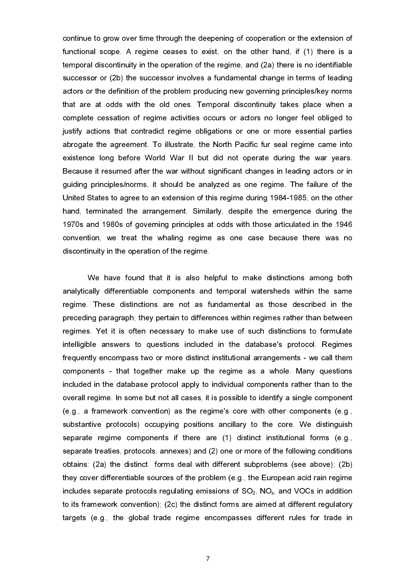continue to grow over time through the deepening of cooperation or the extension of functional scope. A regime ceases to exist, on the other hand, if (1) there is a temporal discontinuity in the operation of the regime, and (2a) there is no identifiable successor or (2b) the successor involves a fundamental change in terms of leading actors or the definition of the problem producing new governing principles/key norms that are at odds with the old ones. Temporal discontinuity takes place when a complete cessation of regime activities occurs or actors no longer feel obliged to justify actions that contradict regime obligations or one or more essential parties abrogate the agreement. To illustrate, the North Pacific fur seal regime came into existence long before World War II but did not operate during the war years. Because it resumed after the war without significant changes in leading actors or in guiding principles/norms, it should be analyzed as one regime. The failure of the United States to agree to an extension of this regime during 1984-1985, on the other hand, terminated the arrangement. Similarly, despite the emergence during the 1970s and 1980s of governing principles at odds with those articulated in the 1946 convention, we treat the whaling regime as one case because there was no discontinuity in the operation of the regime.

We have found that it is also helpful to make distinctions among both analytically differentiable components and temporal watersheds within the same regime. These distinctions are not as fundamental as those described in the preceding paragraph; they pertain to differences within regimes rather than between regimes. Yet it is often necessary to make use of such distinctions to formulate intelligible answers to questions included in the database's protocol. Regimes frequently encompass two or more distinct institutional arrangements - we call them components - that together make up the regime as a whole. Many questions included in the database protocol apply to individual components rather than to the overall regime. In some but not all cases, it is possible to identify a single component (e.g., a framework convention) as the regime's core with other components (e.g., substantive protocols) occupying positions ancillary to the core. We distinguish separate regime components if there are (1) distinct institutional forms (e.g., separate treaties, protocols, annexes) and (2) one or more of the following conditions obtains: (2a) the distinct forms deal with different subproblems (see above); (2b) they cover differentiable sources of the problem (e.g., the European acid rain regime includes separate protocols regulating emissions of  $SO_2$ ,  $NO_x$ , and VOCs in addition to its framework convention); (2c) the distinct forms are aimed at different regulatory targets (e.g., the global trade regime encompasses different rules for trade in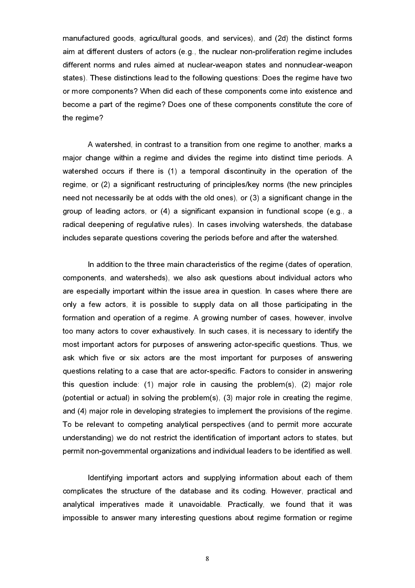manufactured goods, agricultural goods, and services), and (2d) the distinct forms aim at different clusters of actors (e.g., the nuclear non-proliferation regime includes different norms and rules aimed at nuclear-weapon states and nonnuclear-weapon states). These distinctions lead to the following questions: Does the regime have two or more components? When did each of these components come into existence and become a part of the regime? Does one of these components constitute the core of the regime?

A watershed, in contrast to a transition from one regime to another, marks a major change within a regime and divides the regime into distinct time periods. A watershed occurs if there is (1) a temporal discontinuity in the operation of the regime, or (2) a significant restructuring of principles/key norms (the new principles need not necessarily be at odds with the old ones), or (3) a significant change in the group of leading actors, or (4) a significant expansion in functional scope (e.g., a radical deepening of regulative rules). In cases involving watersheds, the database includes separate questions covering the periods before and after the watershed.

In addition to the three main characteristics of the regime (dates of operation, components, and watersheds), we also ask questions about individual actors who are especially important within the issue area in question. In cases where there are only a few actors, it is possible to supply data on all those participating in the formation and operation of a regime. A growing number of cases, however, involve too many actors to cover exhaustively. In such cases, it is necessary to identify the most important actors for purposes of answering actor-specific questions. Thus, we ask which five or six actors are the most important for purposes of answering questions relating to a case that are actor-specific. Factors to consider in answering this question include: (1) major role in causing the problem(s), (2) major role (potential or actual) in solving the problem(s), (3) major role in creating the regime, and (4) major role in developing strategies to implement the provisions of the regime. To be relevant to competing analytical perspectives (and to permit more accurate understanding) we do not restrict the identification of important actors to states, but permit non-governmental organizations and individual leaders to be identified as well.

Identifying important actors and supplying information about each of them complicates the structure of the database and its coding. However, practical and analytical imperatives made it unavoidable. Practically, we found that it was impossible to answer many interesting questions about regime formation or regime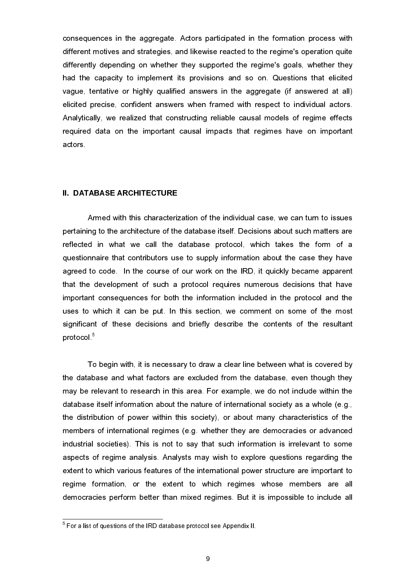consequences in the aggregate. Actors participated in the formation process with different motives and strategies, and likewise reacted to the regime's operation quite differently depending on whether they supported the regime's goals, whether they had the capacity to implement its provisions and so on. Questions that elicited vague, tentative or highly qualified answers in the aggregate (if answered at all) elicited precise, confident answers when framed with respect to individual actors. Analytically, we realized that constructing reliable causal models of regime effects required data on the important causal impacts that regimes have on important actors.

#### II. DATABASE ARCHITECTURE

Armed with this characterization of the individual case, we can turn to issues pertaining to the architecture of the database itself. Decisions about such matters are reflected in what we call the database protocol, which takes the form of a questionnaire that contributors use to supply information about the case they have agreed to code. In the course of our work on the IRD, it quickly became apparent that the development of such a protocol requires numerous decisions that have important consequences for both the information included in the protocol and the uses to which it can be put. In this section, we comment on some of the most significant of these decisions and briefly describe the contents of the resultant protocol.<sup>5</sup>

To begin with, it is necessary to draw a clear line between what is covered by the database and what factors are excluded from the database, even though they may be relevant to research in this area. For example, we do not include within the database itself information about the nature of international society as a whole (e.g., the distribution of power within this society), or about many characteristics of the members of international regimes (e.g. whether they are democracies or advanced industrial societies). This is not to say that such information is irrelevant to some aspects of regime analysis. Analysts may wish to explore questions regarding the extent to which various features of the international power structure are important to regime formation, or the extent to which regimes whose members are all democracies perform better than mixed regimes. But it is impossible to include all

 $5$  For a list of questions of the IRD database protocol see Appendix II.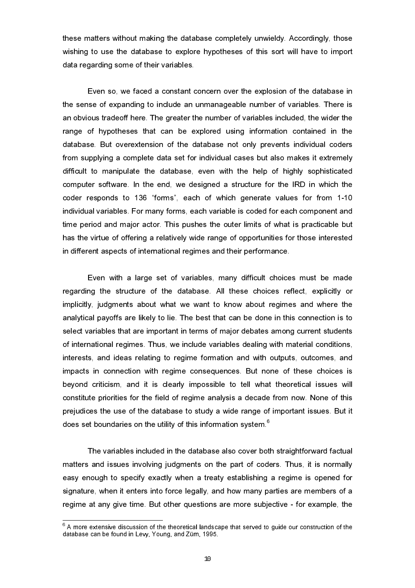these matters without making the database completely unwieldy. Accordingly, those wishing to use the database to explore hypotheses of this sort will have to import data regarding some of their variables.

Even so, we faced a constant concern over the explosion of the database in the sense of expanding to include an unmanageable number of variables. There is an obvious tradeoff here. The greater the number of variables included, the wider the range of hypotheses that can be explored using information contained in the database. But overextension of the database not only prevents individual coders from supplying a complete data set for individual cases but also makes it extremely difficult to manipulate the database, even with the help of highly sophisticated computer software. In the end, we designed a structure for the IRD in which the coder responds to 136 "forms", each of which generate values for from 1-10 individual variables. For many forms, each variable is coded for each component and time period and major actor. This pushes the outer limits of what is practicable but has the virtue of offering a relatively wide range of opportunities for those interested in different aspects of international regimes and their performance.

Even with a large set of variables, many difficult choices must be made regarding the structure of the database. All these choices reflect, explicitly or implicitly, judgments about what we want to know about regimes and where the analytical payoffs are likely to lie. The best that can be done in this connection is to select variables that are important in terms of major debates among current students of international regimes. Thus, we include variables dealing with material conditions, interests, and ideas relating to regime formation and with outputs, outcomes, and impacts in connection with regime consequences. But none of these choices is beyond criticism, and it is clearly impossible to tell what theoretical issues will constitute priorities for the field of regime analysis a decade from now. None of this prejudices the use of the database to study a wide range of important issues. But it does set boundaries on the utility of this information system.<sup>6</sup>

The variables included in the database also cover both straightforward factual matters and issues involving judgments on the part of coders. Thus, it is normally easy enough to specify exactly when a treaty establishing a regime is opened for signature, when it enters into force legally, and how many parties are members of a regime at any give time. But other questions are more subjective - for example, the

 $^6$  A more extensive discussion of the theoretical landscape that served to guide our construction of the database can be found in Levy, Young, and Zürn, 1995.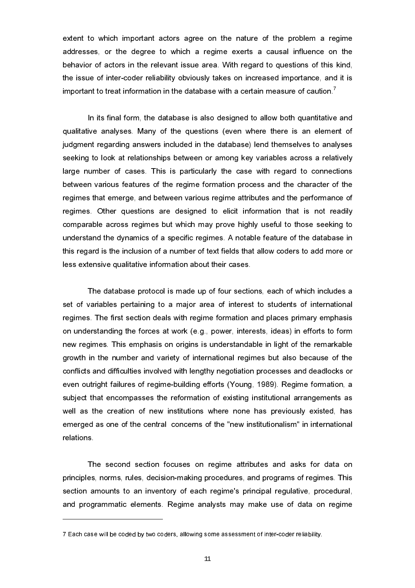extent to which important actors agree on the nature of the problem a regime addresses, or the degree to which a regime exerts a causal influence on the behavior of actors in the relevant issue area. With regard to questions of this kind, the issue of inter-coder reliability obviously takes on increased importance, and it is important to treat information in the database with a certain measure of caution.<sup>7</sup>

In its final form, the database is also designed to allow both quantitative and qualitative analyses. Many of the questions (even where there is an element of judgment regarding answers included in the database) lend themselves to analyses seeking to look at relationships between or among key variables across a relatively large number of cases. This is particularly the case with regard to connections between various features of the regime formation process and the character of the regimes that emerge, and between various regime attributes and the performance of regimes. Other questions are designed to elicit information that is not readily comparable across regimes but which may prove highly useful to those seeking to understand the dynamics of a specific regimes. A notable feature of the database in this regard is the inclusion of a number of text fields that allow coders to add more or less extensive qualitative information about their cases.

The database protocol is made up of four sections, each of which includes a set of variables pertaining to a major area of interest to students of international regimes. The first section deals with regime formation and places primary emphasis on understanding the forces at work (e.g., power, interests, ideas) in efforts to form new regimes. This emphasis on origins is understandable in light of the remarkable growth in the number and variety of international regimes but also because of the conflicts and difficulties involved with lengthy negotiation processes and deadlocks or even outright failures of regime-building efforts (Young, 1989). Regime formation, a subject that encompasses the reformation of existing institutional arrangements as well as the creation of new institutions where none has previously existed, has emerged as one of the central concerns of the "new institutionalism" in international relations.

The second section focuses on regime attributes and asks for data on principles, norms, rules, decision-making procedures, and programs of regimes. This section amounts to an inventory of each regime's principal regulative, procedural, and programmatic elements. Regime analysts may make use of data on regime

<sup>7</sup> Each case will be coded by two coders, allowing some assessment of inter-coder reliability.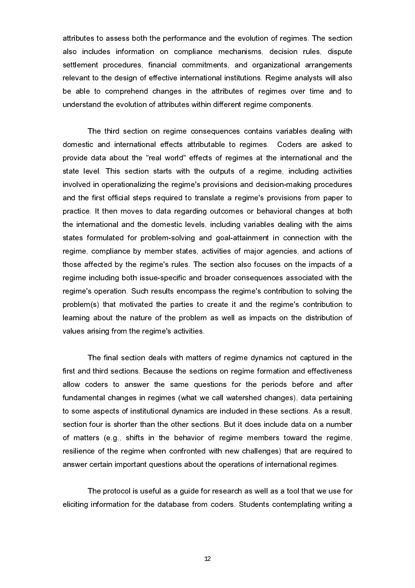attributes to assess both the performance and the evolution of regimes. The section also includes information on compliance mechanisms, decision rules, dispute settlement procedures, financial commitments, and organizational arrangements relevant to the design of effective international institutions. Regime analysts will also be able to comprehend changes in the attributes of regimes over time and to understand the evolution of attributes within different regime components.

The third section on regime consequences contains variables dealing with domestic and international effects attributable to regimes. Coders are asked to provide data about the "real world" effects of regimes at the international and the state level. This section starts with the outputs of a regime, including activities involved in operationalizing the regime's provisions and decision-making procedures and the first official steps required to translate a regime's provisions from paper to practice. It then moves to data regarding outcomes or behavioral changes at both the international and the domestic levels, including variables dealing with the aims states formulated for problem-solving and goal-attainment in connection with the regime, compliance by member states, activities of major agencies, and actions of those affected by the regime's rules. The section also focuses on the impacts of a regime including both issue-specific and broader consequences associated with the regime's operation. Such results encompass the regime's contribution to solving the problem(s) that motivated the parties to create it and the regime's contribution to learning about the nature of the problem as well as impacts on the distribution of values arising from the regime's activities.

The final section deals with matters of regime dynamics not captured in the first and third sections. Because the sections on regime formation and effectiveness allow coders to answer the same questions for the periods before and after fundamental changes in regimes (what we call watershed changes), data pertaining to some aspects of institutional dynamics are included in these sections. As a result, section four is shorter than the other sections. But it does include data on a number of matters (e.g., shifts in the behavior of regime members toward the regime, resilience of the regime when confronted with new challenges) that are required to answer certain important questions about the operations of international regimes.

The protocol is useful as a guide for research as well as a tool that we use for eliciting information for the database from coders. Students contemplating writing a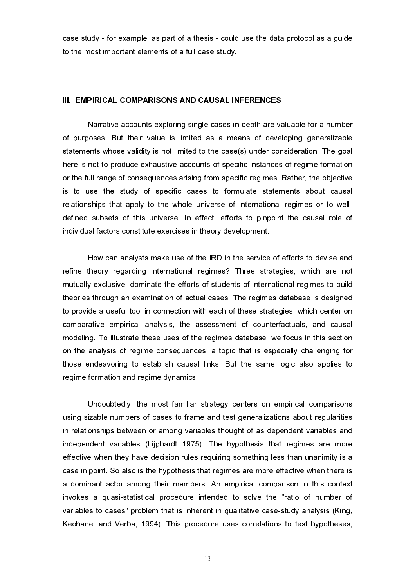case study - for example, as part of a thesis - could use the data protocol as a guide to the most important elements of a full case study.

#### III. EMPIRICAL COMPARISONS AND CAUSAL INFERENCES

Narrative accounts exploring single cases in depth are valuable for a number of purposes. But their value is limited as a means of developing generalizable statements whose validity is not limited to the case(s) under consideration. The goal here is not to produce exhaustive accounts of specific instances of regime formation or the full range of consequences arising from specific regimes. Rather, the objective is to use the study of specific cases to formulate statements about causal relationships that apply to the whole universe of international regimes or to welldefined subsets of this universe. In effect, efforts to pinpoint the causal role of individual factors constitute exercises in theory development.

How can analysts make use of the IRD in the service of efforts to devise and refine theory regarding international regimes? Three strategies, which are not mutually exclusive, dominate the efforts of students of international regimes to build theories through an examination of actual cases. The regimes database is designed to provide a useful tool in connection with each of these strategies, which center on comparative empirical analysis, the assessment of counterfactuals, and causal modeling. To illustrate these uses of the regimes database, we focus in this section on the analysis of regime consequences, a topic that is especially challenging for those endeavoring to establish causal links. But the same logic also applies to regime formation and regime dynamics.

Undoubtedly, the most familiar strategy centers on empirical comparisons using sizable numbers of cases to frame and test generalizations about regularities in relationships between or among variables thought of as dependent variables and independent variables (Lijphardt 1975). The hypothesis that regimes are more effective when they have decision rules requiring something less than unanimity is a case in point. So also is the hypothesis that regimes are more effective when there is a dominant actor among their members. An empirical comparison in this context invokes a quasi-statistical procedure intended to solve the "ratio of number of variables to cases" problem that is inherent in qualitative case-study analysis (King, Keohane, and Verba, 1994). This procedure uses correlations to test hypotheses,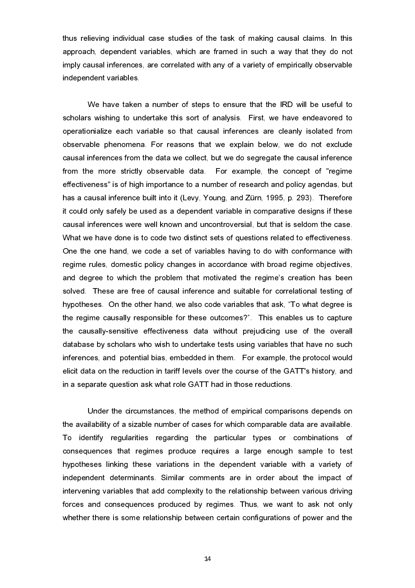thus relieving individual case studies of the task of making causal claims. In this approach, dependent variables, which are framed in such a way that they do not imply causal inferences, are correlated with any of a variety of empirically observable independent variables.

We have taken a number of steps to ensure that the IRD will be useful to scholars wishing to undertake this sort of analysis. First, we have endeavored to operationialize each variable so that causal inferences are cleanly isolated from observable phenomena. For reasons that we explain below, we do not exclude causal inferences from the data we collect, but we do segregate the causal inference from the more strictly observable data. For example, the concept of "regime effectiveness" is of high importance to a number of research and policy agendas, but has a causal inference built into it (Levy, Young, and Zürn, 1995, p. 293). Therefore it could only safely be used as a dependent variable in comparative designs if these causal inferences were well known and uncontroversial, but that is seldom the case. What we have done is to code two distinct sets of questions related to effectiveness. One the one hand, we code a set of variables having to do with conformance with regime rules, domestic policy changes in accordance with broad regime objectives, and degree to which the problem that motivated the regime's creation has been solved. These are free of causal inference and suitable for correlational testing of hypotheses. On the other hand, we also code variables that ask, "To what degree is the regime causally responsible for these outcomes?. This enables us to capture the causally-sensitive effectiveness data without prejudicing use of the overall database by scholars who wish to undertake tests using variables that have no such inferences, and potential bias, embedded in them. For example, the protocol would elicit data on the reduction in tariff levels over the course of the GATT's history, and in a separate question ask what role GATT had in those reductions.

Under the circumstances, the method of empirical comparisons depends on the availability of a sizable number of cases for which comparable data are available. To identify regularities regarding the particular types or combinations of consequences that regimes produce requires a large enough sample to test hypotheses linking these variations in the dependent variable with a variety of independent determinants. Similar comments are in order about the impact of intervening variables that add complexity to the relationship between various driving forces and consequences produced by regimes. Thus, we want to ask not only whether there is some relationship between certain configurations of power and the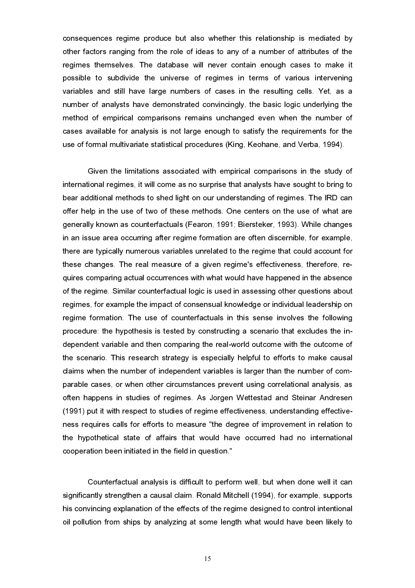consequences regime produce but also whether this relationship is mediated by other factors ranging from the role of ideas to any of a number of attributes of the regimes themselves. The database will never contain enough cases to make it possible to subdivide the universe of regimes in terms of various intervening variables and still have large numbers of cases in the resulting cells. Yet, as a number of analysts have demonstrated convincingly, the basic logic underlying the method of empirical comparisons remains unchanged even when the number of cases available for analysis is not large enough to satisfy the requirements for the use of formal multivariate statistical procedures (King, Keohane, and Verba, 1994).

Given the limitations associated with empirical comparisons in the study of international regimes, it will come as no surprise that analysts have sought to bring to bear additional methods to shed light on our understanding of regimes. The IRD can offer help in the use of two of these methods. One centers on the use of what are generally known as counterfactuals (Fearon, 1991; Biersteker, 1993). While changes in an issue area occurring after regime formation are often discernible, for example, there are typically numerous variables unrelated to the regime that could account for these changes. The real measure of a given regime's effectiveness, therefore, requires comparing actual occurrences with what would have happened in the absence of the regime. Similar counterfactual logic is used in assessing other questions about regimes, for example the impact of consensual knowledge or individual leadership on regime formation. The use of counterfactuals in this sense involves the following procedure: the hypothesis is tested by constructing a scenario that excludes the independent variable and then comparing the real-world outcome with the outcome of the scenario. This research strategy is especially helpful to efforts to make causal claims when the number of independent variables is larger than the number of comparable cases, or when other circumstances prevent using correlational analysis, as often happens in studies of regimes. As Jorgen Wettestad and Steinar Andresen (1991) put it with respect to studies of regime effectiveness, understanding effectiveness requires calls for efforts to measure "the degree of improvement in relation to the hypothetical state of affairs that would have occurred had no international cooperation been initiated in the field in question."

Counterfactual analysis is difficult to perform well, but when done well it can significantly strengthen a causal claim. Ronald Mitchell (1994), for example, supports his convincing explanation of the effects of the regime designed to control intentional oil pollution from ships by analyzing at some length what would have been likely to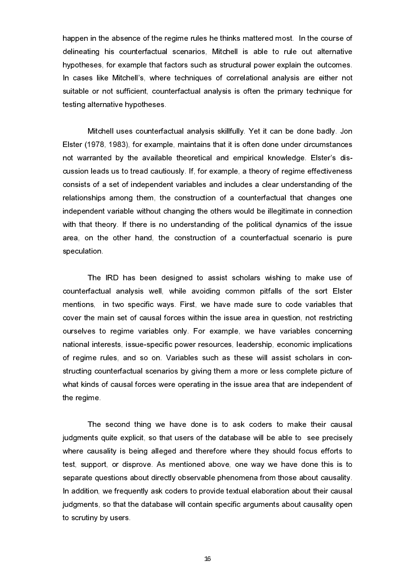happen in the absence of the regime rules he thinks mattered most. In the course of delineating his counterfactual scenarios, Mitchell is able to rule out alternative hypotheses, for example that factors such as structural power explain the outcomes. In cases like Mitchell's, where techniques of correlational analysis are either not suitable or not sufficient, counterfactual analysis is often the primary technique for testing alternative hypotheses.

Mitchell uses counterfactual analysis skillfully. Yet it can be done badly. Jon Elster (1978, 1983), for example, maintains that it is often done under circumstances not warranted by the available theoretical and empirical knowledge. Elster's discussion leads us to tread cautiously. If, for example, a theory of regime effectiveness consists of a set of independent variables and includes a clear understanding of the relationships among them, the construction of a counterfactual that changes one independent variable without changing the others would be illegitimate in connection with that theory. If there is no understanding of the political dynamics of the issue area, on the other hand, the construction of a counterfactual scenario is pure speculation.

The IRD has been designed to assist scholars wishing to make use of counterfactual analysis well, while avoiding common pitfalls of the sort Elster mentions, in two specific ways. First, we have made sure to code variables that cover the main set of causal forces within the issue area in question, not restricting ourselves to regime variables only. For example, we have variables concerning national interests, issue-specific power resources, leadership, economic implications of regime rules, and so on. Variables such as these will assist scholars in constructing counterfactual scenarios by giving them a more or less complete picture of what kinds of causal forces were operating in the issue area that are independent of the regime.

The second thing we have done is to ask coders to make their causal judgments quite explicit, so that users of the database will be able to see precisely where causality is being alleged and therefore where they should focus efforts to test, support, or disprove. As mentioned above, one way we have done this is to separate questions about directly observable phenomena from those about causality. In addition, we frequently ask coders to provide textual elaboration about their causal judgments, so that the database will contain specific arguments about causality open to scrutiny by users.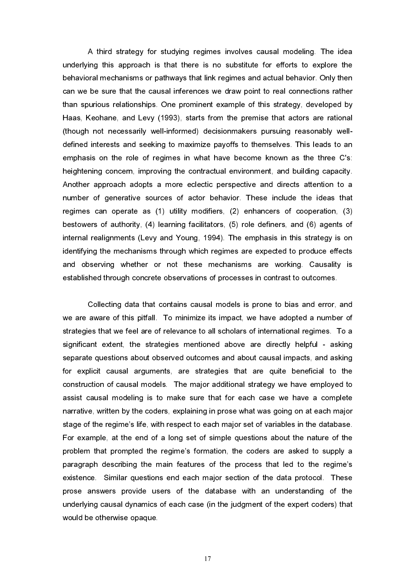A third strategy for studying regimes involves causal modeling. The idea underlying this approach is that there is no substitute for efforts to explore the behavioral mechanisms or pathways that link regimes and actual behavior. Only then can we be sure that the causal inferences we draw point to real connections rather than spurious relationships. One prominent example of this strategy, developed by Haas, Keohane, and Levy (1993), starts from the premise that actors are rational (though not necessarily well-informed) decisionmakers pursuing reasonably welldefined interests and seeking to maximize payoffs to themselves. This leads to an emphasis on the role of regimes in what have become known as the three C's: heightening concern, improving the contractual environment, and building capacity. Another approach adopts a more eclectic perspective and directs attention to a number of generative sources of actor behavior. These include the ideas that regimes can operate as (1) utility modifiers, (2) enhancers of cooperation, (3) bestowers of authority, (4) learning facilitators, (5) role definers, and (6) agents of internal realignments (Levy and Young, 1994). The emphasis in this strategy is on identifying the mechanisms through which regimes are expected to produce effects and observing whether or not these mechanisms are working. Causality is established through concrete observations of processes in contrast to outcomes.

Collecting data that contains causal models is prone to bias and error, and we are aware of this pitfall. To minimize its impact, we have adopted a number of strategies that we feel are of relevance to all scholars of international regimes. To a significant extent, the strategies mentioned above are directly helpful - asking separate questions about observed outcomes and about causal impacts, and asking for explicit causal arguments, are strategies that are quite beneficial to the construction of causal models. The major additional strategy we have employed to assist causal modeling is to make sure that for each case we have a complete narrative, written by the coders, explaining in prose what was going on at each major stage of the regime's life, with respect to each major set of variables in the database. For example, at the end of a long set of simple questions about the nature of the problem that prompted the regime's formation, the coders are asked to supply a paragraph describing the main features of the process that led to the regime's existence. Similar questions end each major section of the data protocol. These prose answers provide users of the database with an understanding of the underlying causal dynamics of each case (in the judgment of the expert coders) that would be otherwise opaque.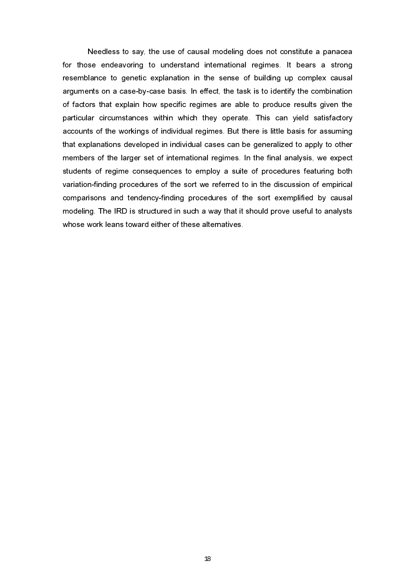Needless to say, the use of causal modeling does not constitute a panacea for those endeavoring to understand international regimes. It bears a strong resemblance to genetic explanation in the sense of building up complex causal arguments on a case-by-case basis. In effect, the task is to identify the combination of factors that explain how specific regimes are able to produce results given the particular circumstances within which they operate. This can yield satisfactory accounts of the workings of individual regimes. But there is little basis for assuming that explanations developed in individual cases can be generalized to apply to other members of the larger set of international regimes. In the final analysis, we expect students of regime consequences to employ a suite of procedures featuring both variation-finding procedures of the sort we referred to in the discussion of empirical comparisons and tendency-finding procedures of the sort exemplified by causal modeling. The IRD is structured in such a way that it should prove useful to analysts whose work leans toward either of these alternatives.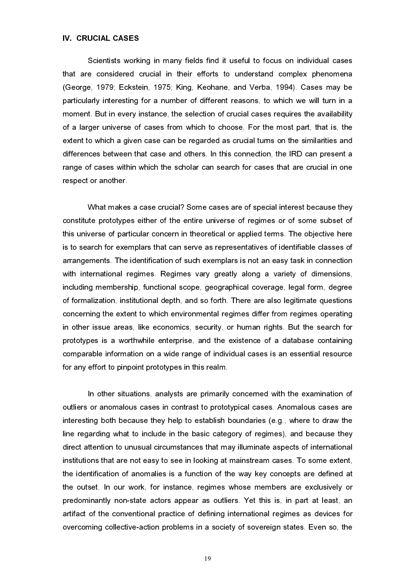#### IV. CRUCIAL CASES

Scientists working in many fields find it useful to focus on individual cases that are considered crucial in their efforts to understand complex phenomena (George, 1979; Eckstein, 1975; King, Keohane, and Verba, 1994). Cases may be particularly interesting for a number of different reasons, to which we will turn in a moment. But in every instance, the selection of crucial cases requires the availability of a larger universe of cases from which to choose. For the most part, that is, the extent to which a given case can be regarded as crucial turns on the similarities and differences between that case and others. In this connection, the IRD can present a range of cases within which the scholar can search for cases that are crucial in one respect or another.

What makes a case crucial? Some cases are of special interest because they constitute prototypes either of the entire universe of regimes or of some subset of this universe of particular concern in theoretical or applied terms. The objective here is to search for exemplars that can serve as representatives of identifiable classes of arrangements. The identification of such exemplars is not an easy task in connection with international regimes. Regimes vary greatly along a variety of dimensions, including membership, functional scope, geographical coverage, legal form, degree of formalization, institutional depth, and so forth. There are also legitimate questions concerning the extent to which environmental regimes differ from regimes operating in other issue areas, like economics, security, or human rights. But the search for prototypes is a worthwhile enterprise, and the existence of a database containing comparable information on a wide range of individual cases is an essential resource for any effort to pinpoint prototypes in this realm.

In other situations, analysts are primarily concerned with the examination of outliers or anomalous cases in contrast to prototypical cases. Anomalous cases are interesting both because they help to establish boundaries (e.g., where to draw the line regarding what to include in the basic category of regimes), and because they direct attention to unusual circumstances that may illuminate aspects of international institutions that are not easy to see in looking at mainstream cases. To some extent, the identification of anomalies is a function of the way key concepts are defined at the outset. In our work, for instance, regimes whose members are exclusively or predominantly non-state actors appear as outliers. Yet this is, in part at least, an artifact of the conventional practice of defining international regimes as devices for overcoming collective-action problems in a society of sovereign states. Even so, the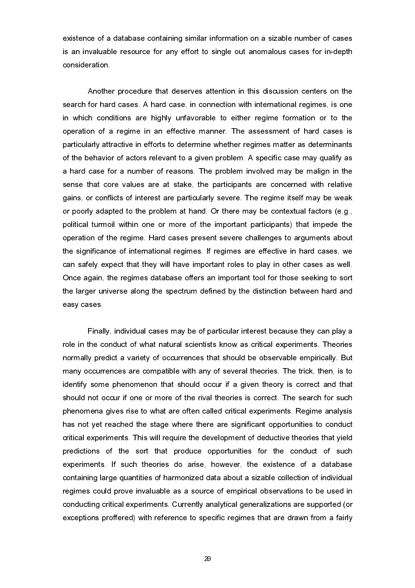existence of a database containing similar information on a sizable number of cases is an invaluable resource for any effort to single out anomalous cases for in-depth consideration.

Another procedure that deserves attention in this discussion centers on the search for hard cases. A hard case, in connection with international regimes, is one in which conditions are highly unfavorable to either regime formation or to the operation of a regime in an effective manner. The assessment of hard cases is particularly attractive in efforts to determine whether regimes matter as determinants of the behavior of actors relevant to a given problem. A specific case may qualify as a hard case for a number of reasons. The problem involved may be malign in the sense that core values are at stake, the participants are concerned with relative gains, or conflicts of interest are particularly severe. The regime itself may be weak or poorly adapted to the problem at hand. Or there may be contextual factors (e.g., political turmoil within one or more of the important participants) that impede the operation of the regime. Hard cases present severe challenges to arguments about the significance of international regimes. If regimes are effective in hard cases, we can safely expect that they will have important roles to play in other cases as well. Once again, the regimes database offers an important tool for those seeking to sort the larger universe along the spectrum defined by the distinction between hard and easy cases.

Finally, individual cases may be of particular interest because they can play a role in the conduct of what natural scientists know as critical experiments. Theories normally predict a variety of occurrences that should be observable empirically. But many occurrences are compatible with any of several theories. The trick, then, is to identify some phenomenon that should occur if a given theory is correct and that should not occur if one or more of the rival theories is correct. The search for such phenomena gives rise to what are often called critical experiments. Regime analysis has not yet reached the stage where there are significant opportunities to conduct critical experiments. This will require the development of deductive theories that yield predictions of the sort that produce opportunities for the conduct of such experiments. If such theories do arise, however, the existence of a database containing large quantities of harmonized data about a sizable collection of individual regimes could prove invaluable as a source of empirical observations to be used in conducting critical experiments. Currently analytical generalizations are supported (or exceptions proffered) with reference to specific regimes that are drawn from a fairly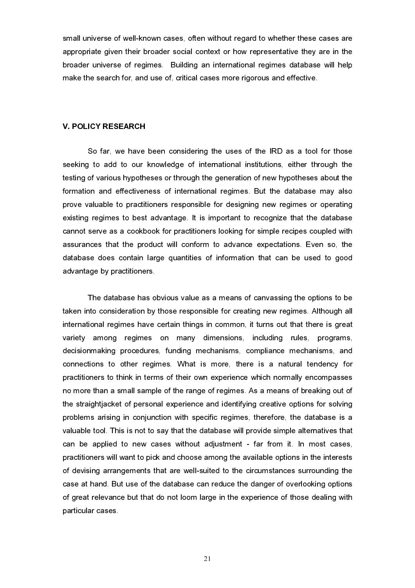small universe of well-known cases, often without regard to whether these cases are appropriate given their broader social context or how representative they are in the broader universe of regimes. Building an international regimes database will help make the search for, and use of, critical cases more rigorous and effective.

#### V. POLICY RESEARCH

So far, we have been considering the uses of the IRD as a tool for those seeking to add to our knowledge of international institutions, either through the testing of various hypotheses or through the generation of new hypotheses about the formation and effectiveness of international regimes. But the database may also prove valuable to practitioners responsible for designing new regimes or operating existing regimes to best advantage. It is important to recognize that the database cannot serve as a cookbook for practitioners looking for simple recipes coupled with assurances that the product will conform to advance expectations. Even so, the database does contain large quantities of information that can be used to good advantage by practitioners.

The database has obvious value as a means of canvassing the options to be taken into consideration by those responsible for creating new regimes. Although all international regimes have certain things in common, it turns out that there is great variety among regimes on many dimensions, including rules, programs, decisionmaking procedures, funding mechanisms, compliance mechanisms, and connections to other regimes. What is more, there is a natural tendency for practitioners to think in terms of their own experience which normally encompasses no more than a small sample of the range of regimes. As a means of breaking out of the straightjacket of personal experience and identifying creative options for solving problems arising in conjunction with specific regimes, therefore, the database is a valuable tool. This is not to say that the database will provide simple alternatives that can be applied to new cases without adjustment - far from it. In most cases, practitioners will want to pick and choose among the available options in the interests of devising arrangements that are well-suited to the circumstances surrounding the case at hand. But use of the database can reduce the danger of overlooking options of great relevance but that do not loom large in the experience of those dealing with particular cases.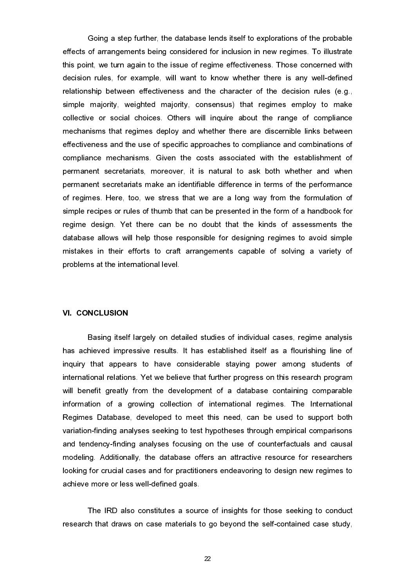Going a step further, the database lends itself to explorations of the probable effects of arrangements being considered for inclusion in new regimes. To illustrate this point, we turn again to the issue of regime effectiveness. Those concerned with decision rules, for example, will want to know whether there is any well-defined relationship between effectiveness and the character of the decision rules (e.g., simple majority, weighted majority, consensus) that regimes employ to make collective or social choices. Others will inquire about the range of compliance mechanisms that regimes deploy and whether there are discernible links between effectiveness and the use of specific approaches to compliance and combinations of compliance mechanisms. Given the costs associated with the establishment of permanent secretariats, moreover, it is natural to ask both whether and when permanent secretariats make an identifiable difference in terms of the performance of regimes. Here, too, we stress that we are a long way from the formulation of simple recipes or rules of thumb that can be presented in the form of a handbook for regime design. Yet there can be no doubt that the kinds of assessments the database allows will help those responsible for designing regimes to avoid simple mistakes in their efforts to craft arrangements capable of solving a variety of problems at the international level.

#### VI. CONCLUSION

Basing itself largely on detailed studies of individual cases, regime analysis has achieved impressive results. It has established itself as a flourishing line of inquiry that appears to have considerable staying power among students of international relations. Yet we believe that further progress on this research program will benefit greatly from the development of a database containing comparable information of a growing collection of international regimes. The International Regimes Database, developed to meet this need, can be used to support both variation-finding analyses seeking to test hypotheses through empirical comparisons and tendency-finding analyses focusing on the use of counterfactuals and causal modeling. Additionally, the database offers an attractive resource for researchers looking for crucial cases and for practitioners endeavoring to design new regimes to achieve more or less well-defined goals.

The IRD also constitutes a source of insights for those seeking to conduct research that draws on case materials to go beyond the self-contained case study,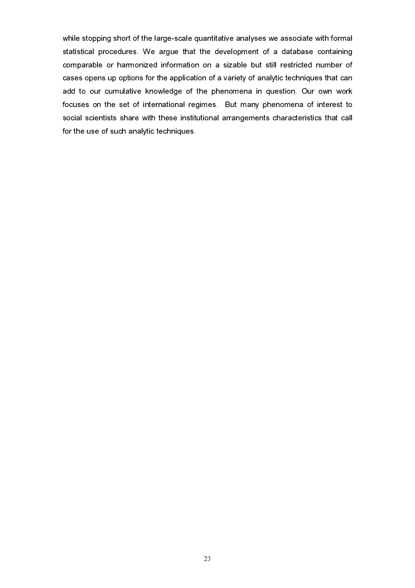while stopping short of the large-scale quantitative analyses we associate with formal statistical procedures. We argue that the development of a database containing comparable or harmonized information on a sizable but still restricted number of cases opens up options for the application of a variety of analytic techniques that can add to our cumulative knowledge of the phenomena in question. Our own work focuses on the set of international regimes. But many phenomena of interest to social scientists share with these institutional arrangements characteristics that call for the use of such analytic techniques.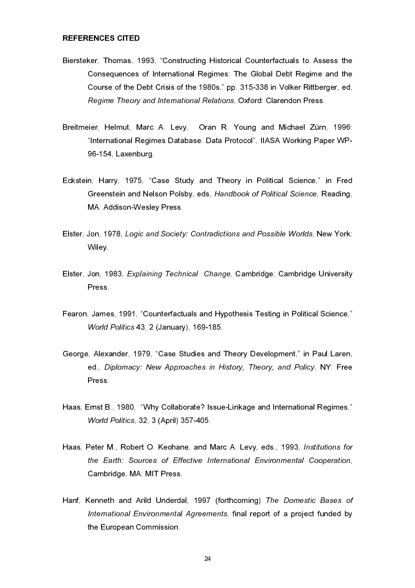#### REFERENCES CITED

- Biersteker, Thomas, 1993, "Constructing Historical Counterfactuals to Assess the Consequences of International Regimes: The Global Debt Regime and the Course of the Debt Crisis of the 1980s," pp. 315-338 in Volker Rittberger, ed, Regime Theory and International Relations, Oxford: Clarendon Press.
- Breitmeier, Helmut, Marc A. Levy, Oran R. Young and Michael Zürn, 1996: "International Regimes Database: Data Protocol", IIASA Working Paper WP-96-154, Laxenburg.
- Eckstein, Harry, 1975, "Case Study and Theory in Political Science," in Fred Greenstein and Nelson Polsby, eds, Handbook of Political Science, Reading, MA: Addison-Wesley Press.
- Elster, Jon, 1978, Logic and Society: Contradictions and Possible Worlds, New York: Wiley.
- Elster, Jon, 1983, Explaining Technical Change, Cambridge: Cambridge University Press.
- Fearon, James, 1991, "Counterfactuals and Hypothesis Testing in Political Science," World Politics 43, 2 (January), 169-185.
- George, Alexander, 1979, "Case Studies and Theory Development," in Paul Laren, ed., Diplomacy: New Approaches in History, Theory, and Policy, NY: Free Press.
- Haas, Ernst B., 1980, "Why Collaborate? Issue-Linkage and International Regimes," World Politics, 32, 3 (April) 357-405.
- Haas, Peter M., Robert O. Keohane, and Marc A. Levy, eds., 1993, Institutions for the Earth: Sources of Effective International Environmental Cooperation, Cambridge, MA: MIT Press.
- Hanf, Kenneth and Arild Underdal, 1997 (forthcoming) The Domestic Bases of International Environmental Agreements, final report of a project funded by the European Commission.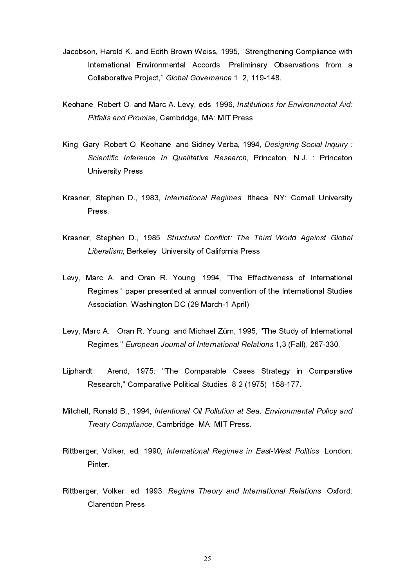- Jacobson, Harold K. and Edith Brown Weiss, 1995, "Strengthening Compliance with International Environmental Accords: Preliminary Observations from a Collaborative Project," Global Governance 1, 2, 119-148.
- Keohane, Robert O. and Marc A. Levy, eds, 1996, Institutions for Environmental Aid: Pitfalls and Promise, Cambridge, MA: MIT Press.
- King, Gary, Robert O. Keohane, and Sidney Verba, 1994, Designing Social Inquiry : Scientific Inference In Qualitative Research, Princeton, N.J. : Princeton University Press.
- Krasner, Stephen D., 1983, International Regimes, Ithaca, NY: Cornell University Press.
- Krasner, Stephen D., 1985, Structural Conflict: The Third World Against Global Liberalism, Berkeley: University of California Press.
- Levy, Marc A. and Oran R. Young, 1994, "The Effectiveness of International Regimes," paper presented at annual convention of the International Studies Association, Washington DC (29 March-1 April).
- Levy, Marc A., Oran R. Young, and Michael Zürn, 1995, "The Study of International Regimes," European Journal of International Relations 1,3 (Fall), 267-330.
- Lijphardt, Arend, 1975: "The Comparable Cases Strategy in Comparative Research," Comparative Political Studies 8:2 (1975), 158-177.
- Mitchell, Ronald B., 1994, Intentional Oil Pollution at Sea: Environmental Policy and Treaty Compliance, Cambridge, MA: MIT Press.
- Rittberger, Volker, ed, 1990, International Regimes in East-West Politics, London: Pinter.
- Rittberger, Volker, ed, 1993, Regime Theory and International Relations, Oxford: Clarendon Press.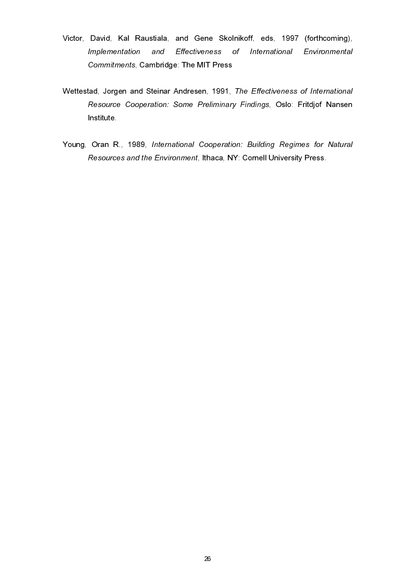- Victor, David, Kal Raustiala, and Gene Skolnikoff, eds, 1997 (forthcoming), Implementation and Effectiveness of International Environmental Commitments, Cambridge: The MIT Press
- Wettestad, Jorgen and Steinar Andresen, 1991, The Effectiveness of International Resource Cooperation: Some Preliminary Findings, Oslo: Fritdjof Nansen Institute.
- Young, Oran R., 1989, International Cooperation: Building Regimes for Natural Resources and the Environment, Ithaca, NY: Cornell University Press.